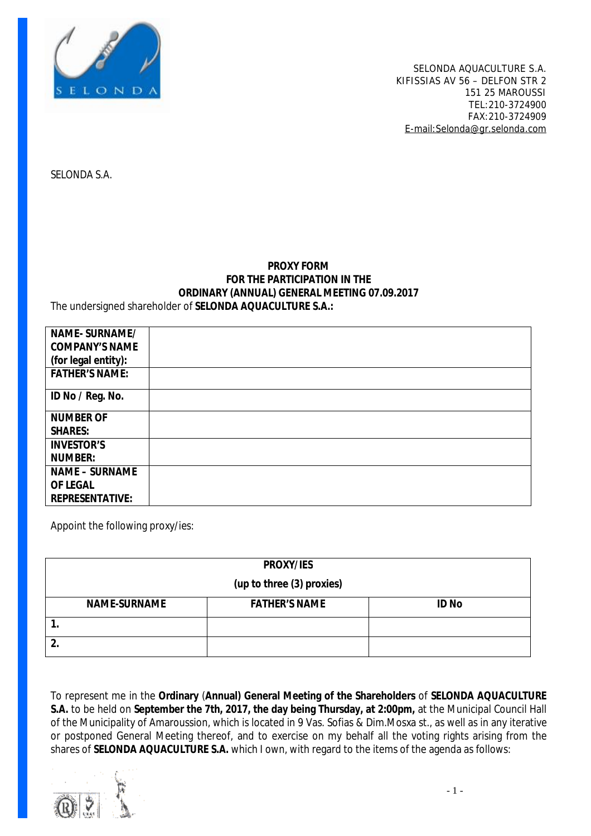

SELONDA S.A.

#### **PROXY FORM FOR THE PARTICIPATION IN THE ORDINARY (ANNUAL) GENERAL MEETING 07.09.2017**  The undersigned shareholder of **SELONDA AQUACULTURE S.A.:**

| NAME-SURNAME/          |  |
|------------------------|--|
| <b>COMPANY'S NAME</b>  |  |
| (for legal entity):    |  |
| <b>FATHER'S NAME:</b>  |  |
| ID No / Reg. No.       |  |
| <b>NUMBER OF</b>       |  |
| <b>SHARES:</b>         |  |
| <b>INVESTOR'S</b>      |  |
| <b>NUMBER:</b>         |  |
| <b>NAME - SURNAME</b>  |  |
| <b>OF LEGAL</b>        |  |
| <b>REPRESENTATIVE:</b> |  |

Appoint the following proxy/ies:

| PROXY/IES                 |                      |              |  |  |
|---------------------------|----------------------|--------------|--|--|
| (up to three (3) proxies) |                      |              |  |  |
| <b>NAME-SURNAME</b>       | <b>FATHER'S NAME</b> | <b>ID No</b> |  |  |
|                           |                      |              |  |  |
|                           |                      |              |  |  |

To represent me in the **Ordinary** (**Annual) General Meeting of the Shareholders** of **SELONDA AQUACULTURE S.A.** to be held on **September the 7th, 2017, the day being Thursday, at 2:00pm,** at the Municipal Council Hall of the Municipality of Amaroussion, which is located in 9 Vas. Sofias & Dim.Mosxa st., as well as in any iterative or postponed General Meeting thereof, and to exercise on my behalf all the voting rights arising from the shares of **SELONDA AQUACULTURE S.A.** which I own, with regard to the items of the agenda as follows:

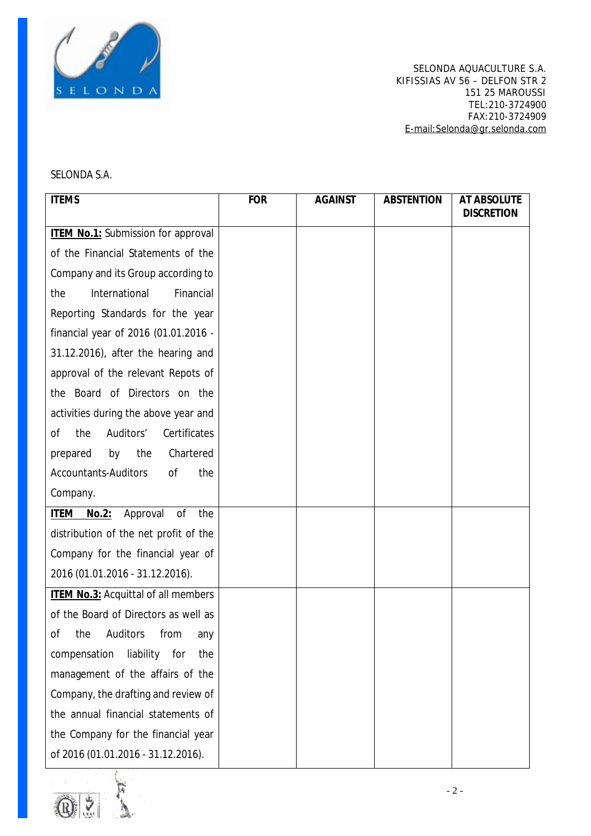

### SELONDA S.A.

| <b>ITEMS</b>                                    | <b>FOR</b> | <b>AGAINST</b> | <b>ABSTENTION</b> | AT ABSOLUTE<br><b>DISCRETION</b> |
|-------------------------------------------------|------------|----------------|-------------------|----------------------------------|
| <b>ITEM No.1: Submission for approval</b>       |            |                |                   |                                  |
| of the Financial Statements of the              |            |                |                   |                                  |
| Company and its Group according to              |            |                |                   |                                  |
| <b>International</b><br>the<br>Financial        |            |                |                   |                                  |
| Reporting Standards for the year                |            |                |                   |                                  |
| financial year of 2016 (01.01.2016 -            |            |                |                   |                                  |
| 31.12.2016), after the hearing and              |            |                |                   |                                  |
| approval of the relevant Repots of              |            |                |                   |                                  |
| the Board of Directors on the                   |            |                |                   |                                  |
| activities during the above year and            |            |                |                   |                                  |
| Auditors'<br>Certificates<br>the<br>оf          |            |                |                   |                                  |
| the<br>Chartered<br>prepared<br>by              |            |                |                   |                                  |
| <b>Accountants-Auditors</b><br><b>of</b><br>the |            |                |                   |                                  |
| Company.                                        |            |                |                   |                                  |
| Approval<br>of<br>the<br>ITEM<br>No.2:          |            |                |                   |                                  |
| distribution of the net profit of the           |            |                |                   |                                  |
| Company for the financial year of               |            |                |                   |                                  |
| 2016 (01.01.2016 - 31.12.2016).                 |            |                |                   |                                  |
| <b>ITEM No.3: Acquittal of all members</b>      |            |                |                   |                                  |
| of the Board of Directors as well as            |            |                |                   |                                  |
| the<br>Auditors<br>from<br>of<br>any            |            |                |                   |                                  |
| compensation liability for<br>the               |            |                |                   |                                  |
| management of the affairs of the                |            |                |                   |                                  |
| Company, the drafting and review of             |            |                |                   |                                  |
| the annual financial statements of              |            |                |                   |                                  |
| the Company for the financial year              |            |                |                   |                                  |
| of 2016 (01.01.2016 - 31.12.2016).              |            |                |                   |                                  |

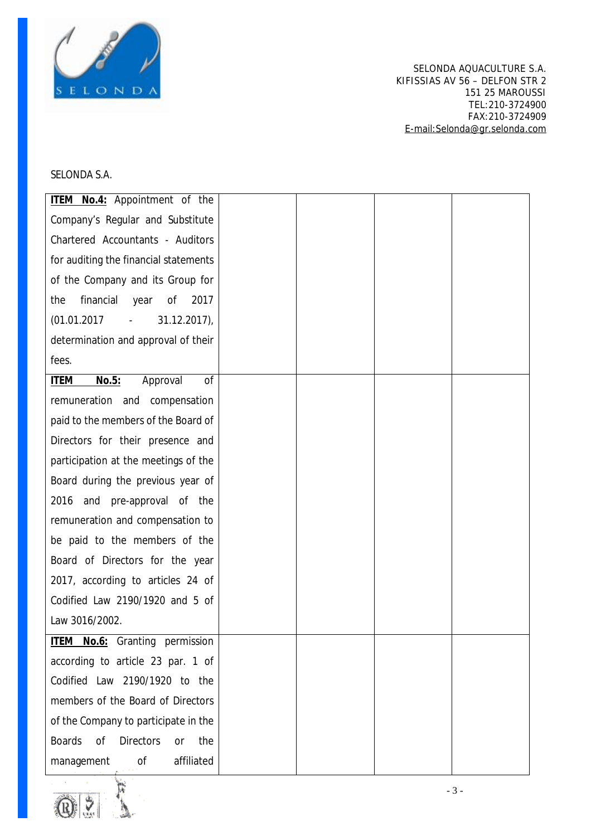

# SELONDA S.A.

| <b>ITEM No.4: Appointment of the</b>                         |  |  |
|--------------------------------------------------------------|--|--|
| Company's Regular and Substitute                             |  |  |
| Chartered Accountants - Auditors                             |  |  |
| for auditing the financial statements                        |  |  |
| of the Company and its Group for                             |  |  |
| financial<br>of<br>2017<br>the<br>year                       |  |  |
| (01.01.2017)<br>$31.12.2017$ ),<br>$\mathbb{Z}^{\mathbb{Z}}$ |  |  |
| determination and approval of their                          |  |  |
| fees.                                                        |  |  |
| No.5:<br><b>ITEM</b><br>Approval<br>of                       |  |  |
| remuneration and compensation                                |  |  |
| paid to the members of the Board of                          |  |  |
| Directors for their presence and                             |  |  |
| participation at the meetings of the                         |  |  |
| Board during the previous year of                            |  |  |
| and pre-approval of the<br>2016                              |  |  |
| remuneration and compensation to                             |  |  |
| be paid to the members of the                                |  |  |
| Board of Directors for the year                              |  |  |
| 2017, according to articles 24 of                            |  |  |
| Codified Law 2190/1920 and 5 of                              |  |  |
| Law 3016/2002.                                               |  |  |
| <b>ITEM No.6:</b> Granting permission                        |  |  |
| according to article 23 par. 1 of                            |  |  |
| Codified Law 2190/1920 to the                                |  |  |
| members of the Board of Directors                            |  |  |
| of the Company to participate in the                         |  |  |
| <b>Boards</b><br><b>Directors</b><br>the<br>of<br><b>or</b>  |  |  |
| of<br>affiliated<br>management                               |  |  |

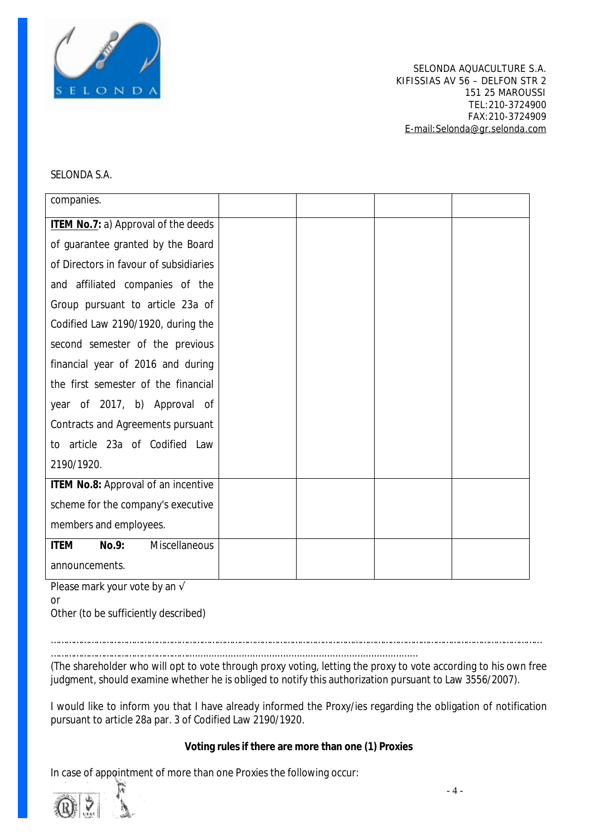

#### SELONDA S.A.

| companies.                                   |  |  |
|----------------------------------------------|--|--|
| ITEM No.7: a) Approval of the deeds          |  |  |
| of guarantee granted by the Board            |  |  |
| of Directors in favour of subsidiaries       |  |  |
| and affiliated companies of the              |  |  |
| Group pursuant to article 23a of             |  |  |
| Codified Law 2190/1920, during the           |  |  |
| second semester of the previous              |  |  |
| financial year of 2016 and during            |  |  |
| the first semester of the financial          |  |  |
| year of 2017, b) Approval of                 |  |  |
| <b>Contracts and Agreements pursuant</b>     |  |  |
| to article 23a of Codified Law               |  |  |
| 2190/1920.                                   |  |  |
| ITEM No.8: Approval of an incentive          |  |  |
| scheme for the company's executive           |  |  |
| members and employees.                       |  |  |
| No.9:<br><b>Miscellaneous</b><br><b>ITEM</b> |  |  |
| announcements.                               |  |  |

Please mark your vote by an √

or

Other (to be sufficiently described)

……………………………………………………………………………………………………………………………………………………………………………

……………………………………………….................................................................................... (The shareholder who will opt to vote through proxy voting, letting the proxy to vote according to his own free judgment, should examine whether he is obliged to notify this authorization pursuant to Law 3556/2007).

I would like to inform you that I have already informed the Proxy/ies regarding the obligation of notification pursuant to article 28a par. 3 of Codified Law 2190/1920.

**Voting rules if there are more than one (1) Proxies** 

In case of appointment of more than one Proxies the following occur: